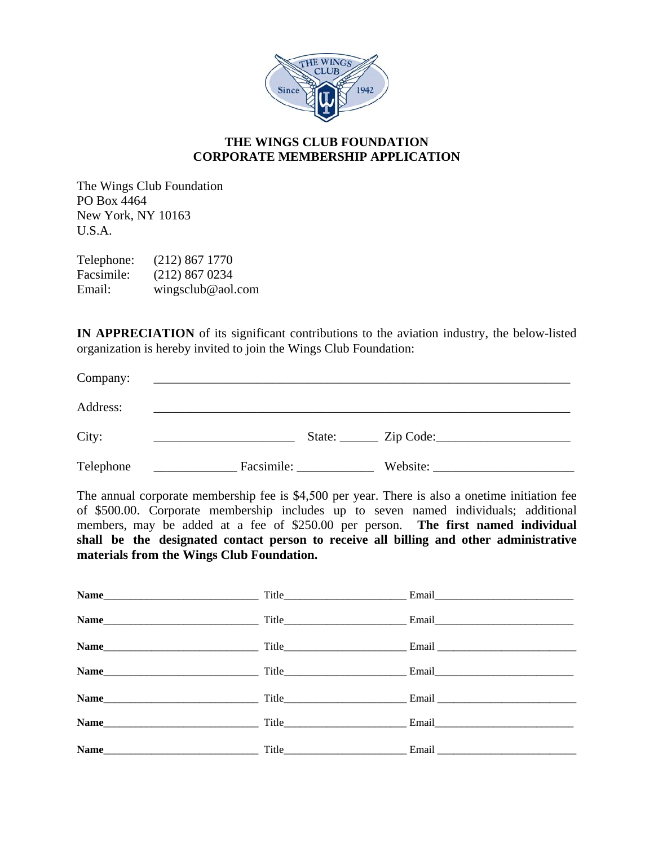

## **THE WINGS CLUB FOUNDATION CORPORATE MEMBERSHIP APPLICATION**

The Wings Club Foundation PO Box 4464 New York, NY 10163 U.S.A.

Telephone: (212) 867 1770 Facsimile: (212) 867 0234 Email: wingsclub@aol.com

**IN APPRECIATION** of its significant contributions to the aviation industry, the below-listed organization is hereby invited to join the Wings Club Foundation:

| Company:  |            |                         |          |
|-----------|------------|-------------------------|----------|
| Address:  |            |                         |          |
| City:     |            | State: <u>Cip</u> Code: |          |
| Telephone | Facsimile: |                         | Website: |

The annual corporate membership fee is \$4,500 per year. There is also a onetime initiation fee of \$500.00. Corporate membership includes up to seven named individuals; additional members, may be added at a fee of \$250.00 per person. **The first named individual shall be the designated contact person to receive all billing and other administrative materials from the Wings Club Foundation.**

|      | Title Email Email |
|------|-------------------|
|      |                   |
|      |                   |
|      |                   |
|      |                   |
| Name |                   |
| Name |                   |